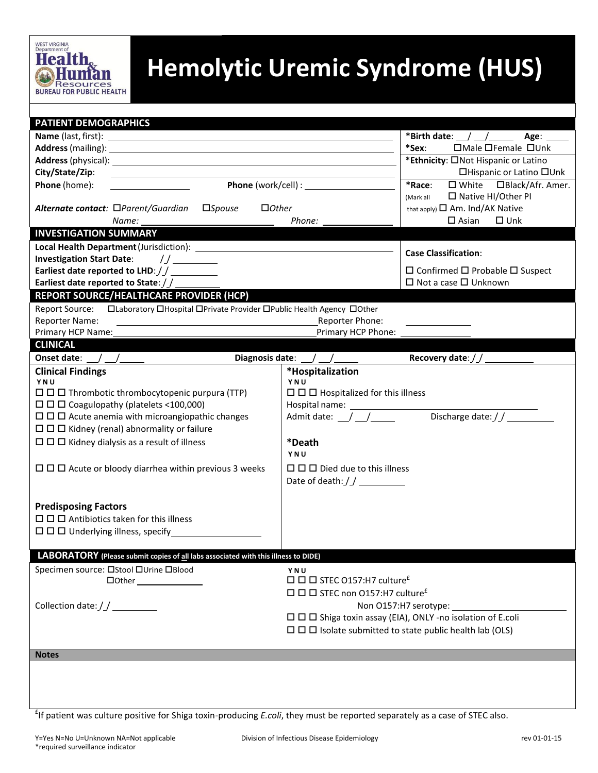

## **Hemolytic Uremic Syndrome (HUS)**

| <b>PATIENT DEMOGRAPHICS</b><br>*Birth date: $\_\_\_\_\_\_\_\_\_\_\_\_\_\_\$<br>Age:<br>□Male □Female □Unk<br>*Sex:<br>*Ethnicity: ONot Hispanic or Latino<br>□Hispanic or Latino □Unk<br>City/State/Zip:<br>*Race:<br>Phone (home):<br>$\square$ White<br>□Black/Afr. Amer.<br><u>and the state of the state of the state of the state of the state of the state of the state of the state of the state of the state of the state of the state of the state of the state of the state of the state of the state</u><br>□ Native HI/Other PI<br>(Mark all<br>Alternate contact: □Parent/Guardian<br>$\square$ <i>Spouse</i><br>$\Box$ Other<br>that apply) $\square$ Am. Ind/AK Native<br>$\square$ Asian<br>$\Box$ Unk<br>Phone:<br><b>INVESTIGATION SUMMARY</b><br><b>Case Classification:</b><br>Investigation Start Date: //________<br>Earliest date reported to LHD://__________<br>$\Box$ Confirmed $\Box$ Probable $\Box$ Suspect<br>□ Not a case □ Unknown<br>Earliest date reported to State: //<br><b>REPORT SOURCE/HEALTHCARE PROVIDER (HCP)</b><br>□Laboratory □Hospital □Private Provider □Public Health Agency □Other<br><b>Report Source:</b><br><b>Reporter Name:</b><br>Reporter Phone:<br>Primary HCP Phone:<br>Primary HCP Name:<br><b>CLINICAL</b><br>Diagnosis date: $\angle$ / $\angle$<br>Onset date: $\angle$ $\angle$ $\angle$<br>*Hospitalization<br><b>Clinical Findings</b><br>YNU<br>YNU<br>$\Box$ $\Box$ Hospitalized for this illness<br>$\Box$ $\Box$ Thrombotic thrombocytopenic purpura (TTP)<br>$\Box$ $\Box$ Coagulopathy (platelets <100,000)<br>Discharge date: / /<br>Admit date: $\_\_\_\_\_\_\_\_\_\_\_\_\$<br>$\Box$ $\Box$ Acute anemia with microangiopathic changes<br>$\Box$ $\Box$ Kidney (renal) abnormality or failure<br>$\Box$ $\Box$ Kidney dialysis as a result of illness<br>*Death<br>YNU<br>$\Box$ $\Box$ Acute or bloody diarrhea within previous 3 weeks<br>$\Box$ $\Box$ $\Box$ Died due to this illness<br><b>Predisposing Factors</b><br>$\Box$ $\Box$ Antibiotics taken for this illness<br>$\Box$ $\Box$ Underlying illness, specify<br>LABORATORY (Please submit copies of all labs associated with this illness to DIDE)<br>Specimen source: □Stool □Urine □Blood<br>YNU<br>$\Box$ $\Box$ STEC 0157:H7 culture <sup>£</sup><br>$\Box$ $\Box$ STEC non O157:H7 culture <sup>£</sup><br>Non O157:H7 serotype: ______<br>$\Box$ $\Box$ $\Box$ Shiga toxin assay (EIA), ONLY -no isolation of E.coli<br>$\Box$ $\Box$ Isolate submitted to state public health lab (OLS)<br><b>Notes</b> | <b>BUREAU FOR PUBLIC HEALTH</b> |  |  |  |
|-------------------------------------------------------------------------------------------------------------------------------------------------------------------------------------------------------------------------------------------------------------------------------------------------------------------------------------------------------------------------------------------------------------------------------------------------------------------------------------------------------------------------------------------------------------------------------------------------------------------------------------------------------------------------------------------------------------------------------------------------------------------------------------------------------------------------------------------------------------------------------------------------------------------------------------------------------------------------------------------------------------------------------------------------------------------------------------------------------------------------------------------------------------------------------------------------------------------------------------------------------------------------------------------------------------------------------------------------------------------------------------------------------------------------------------------------------------------------------------------------------------------------------------------------------------------------------------------------------------------------------------------------------------------------------------------------------------------------------------------------------------------------------------------------------------------------------------------------------------------------------------------------------------------------------------------------------------------------------------------------------------------------------------------------------------------------------------------------------------------------------------------------------------------------------------------------------------------------------------------------------------------------------------------------------------------------------------------------------------------------------------------------------------------------------------------------------------------------------------------------------------------------------------------------------|---------------------------------|--|--|--|
|                                                                                                                                                                                                                                                                                                                                                                                                                                                                                                                                                                                                                                                                                                                                                                                                                                                                                                                                                                                                                                                                                                                                                                                                                                                                                                                                                                                                                                                                                                                                                                                                                                                                                                                                                                                                                                                                                                                                                                                                                                                                                                                                                                                                                                                                                                                                                                                                                                                                                                                                                       |                                 |  |  |  |
|                                                                                                                                                                                                                                                                                                                                                                                                                                                                                                                                                                                                                                                                                                                                                                                                                                                                                                                                                                                                                                                                                                                                                                                                                                                                                                                                                                                                                                                                                                                                                                                                                                                                                                                                                                                                                                                                                                                                                                                                                                                                                                                                                                                                                                                                                                                                                                                                                                                                                                                                                       |                                 |  |  |  |
|                                                                                                                                                                                                                                                                                                                                                                                                                                                                                                                                                                                                                                                                                                                                                                                                                                                                                                                                                                                                                                                                                                                                                                                                                                                                                                                                                                                                                                                                                                                                                                                                                                                                                                                                                                                                                                                                                                                                                                                                                                                                                                                                                                                                                                                                                                                                                                                                                                                                                                                                                       |                                 |  |  |  |
|                                                                                                                                                                                                                                                                                                                                                                                                                                                                                                                                                                                                                                                                                                                                                                                                                                                                                                                                                                                                                                                                                                                                                                                                                                                                                                                                                                                                                                                                                                                                                                                                                                                                                                                                                                                                                                                                                                                                                                                                                                                                                                                                                                                                                                                                                                                                                                                                                                                                                                                                                       |                                 |  |  |  |
|                                                                                                                                                                                                                                                                                                                                                                                                                                                                                                                                                                                                                                                                                                                                                                                                                                                                                                                                                                                                                                                                                                                                                                                                                                                                                                                                                                                                                                                                                                                                                                                                                                                                                                                                                                                                                                                                                                                                                                                                                                                                                                                                                                                                                                                                                                                                                                                                                                                                                                                                                       |                                 |  |  |  |
|                                                                                                                                                                                                                                                                                                                                                                                                                                                                                                                                                                                                                                                                                                                                                                                                                                                                                                                                                                                                                                                                                                                                                                                                                                                                                                                                                                                                                                                                                                                                                                                                                                                                                                                                                                                                                                                                                                                                                                                                                                                                                                                                                                                                                                                                                                                                                                                                                                                                                                                                                       |                                 |  |  |  |
|                                                                                                                                                                                                                                                                                                                                                                                                                                                                                                                                                                                                                                                                                                                                                                                                                                                                                                                                                                                                                                                                                                                                                                                                                                                                                                                                                                                                                                                                                                                                                                                                                                                                                                                                                                                                                                                                                                                                                                                                                                                                                                                                                                                                                                                                                                                                                                                                                                                                                                                                                       |                                 |  |  |  |
|                                                                                                                                                                                                                                                                                                                                                                                                                                                                                                                                                                                                                                                                                                                                                                                                                                                                                                                                                                                                                                                                                                                                                                                                                                                                                                                                                                                                                                                                                                                                                                                                                                                                                                                                                                                                                                                                                                                                                                                                                                                                                                                                                                                                                                                                                                                                                                                                                                                                                                                                                       |                                 |  |  |  |
|                                                                                                                                                                                                                                                                                                                                                                                                                                                                                                                                                                                                                                                                                                                                                                                                                                                                                                                                                                                                                                                                                                                                                                                                                                                                                                                                                                                                                                                                                                                                                                                                                                                                                                                                                                                                                                                                                                                                                                                                                                                                                                                                                                                                                                                                                                                                                                                                                                                                                                                                                       |                                 |  |  |  |
|                                                                                                                                                                                                                                                                                                                                                                                                                                                                                                                                                                                                                                                                                                                                                                                                                                                                                                                                                                                                                                                                                                                                                                                                                                                                                                                                                                                                                                                                                                                                                                                                                                                                                                                                                                                                                                                                                                                                                                                                                                                                                                                                                                                                                                                                                                                                                                                                                                                                                                                                                       |                                 |  |  |  |
|                                                                                                                                                                                                                                                                                                                                                                                                                                                                                                                                                                                                                                                                                                                                                                                                                                                                                                                                                                                                                                                                                                                                                                                                                                                                                                                                                                                                                                                                                                                                                                                                                                                                                                                                                                                                                                                                                                                                                                                                                                                                                                                                                                                                                                                                                                                                                                                                                                                                                                                                                       |                                 |  |  |  |
|                                                                                                                                                                                                                                                                                                                                                                                                                                                                                                                                                                                                                                                                                                                                                                                                                                                                                                                                                                                                                                                                                                                                                                                                                                                                                                                                                                                                                                                                                                                                                                                                                                                                                                                                                                                                                                                                                                                                                                                                                                                                                                                                                                                                                                                                                                                                                                                                                                                                                                                                                       |                                 |  |  |  |
|                                                                                                                                                                                                                                                                                                                                                                                                                                                                                                                                                                                                                                                                                                                                                                                                                                                                                                                                                                                                                                                                                                                                                                                                                                                                                                                                                                                                                                                                                                                                                                                                                                                                                                                                                                                                                                                                                                                                                                                                                                                                                                                                                                                                                                                                                                                                                                                                                                                                                                                                                       |                                 |  |  |  |
|                                                                                                                                                                                                                                                                                                                                                                                                                                                                                                                                                                                                                                                                                                                                                                                                                                                                                                                                                                                                                                                                                                                                                                                                                                                                                                                                                                                                                                                                                                                                                                                                                                                                                                                                                                                                                                                                                                                                                                                                                                                                                                                                                                                                                                                                                                                                                                                                                                                                                                                                                       |                                 |  |  |  |
|                                                                                                                                                                                                                                                                                                                                                                                                                                                                                                                                                                                                                                                                                                                                                                                                                                                                                                                                                                                                                                                                                                                                                                                                                                                                                                                                                                                                                                                                                                                                                                                                                                                                                                                                                                                                                                                                                                                                                                                                                                                                                                                                                                                                                                                                                                                                                                                                                                                                                                                                                       |                                 |  |  |  |
|                                                                                                                                                                                                                                                                                                                                                                                                                                                                                                                                                                                                                                                                                                                                                                                                                                                                                                                                                                                                                                                                                                                                                                                                                                                                                                                                                                                                                                                                                                                                                                                                                                                                                                                                                                                                                                                                                                                                                                                                                                                                                                                                                                                                                                                                                                                                                                                                                                                                                                                                                       |                                 |  |  |  |
|                                                                                                                                                                                                                                                                                                                                                                                                                                                                                                                                                                                                                                                                                                                                                                                                                                                                                                                                                                                                                                                                                                                                                                                                                                                                                                                                                                                                                                                                                                                                                                                                                                                                                                                                                                                                                                                                                                                                                                                                                                                                                                                                                                                                                                                                                                                                                                                                                                                                                                                                                       |                                 |  |  |  |
|                                                                                                                                                                                                                                                                                                                                                                                                                                                                                                                                                                                                                                                                                                                                                                                                                                                                                                                                                                                                                                                                                                                                                                                                                                                                                                                                                                                                                                                                                                                                                                                                                                                                                                                                                                                                                                                                                                                                                                                                                                                                                                                                                                                                                                                                                                                                                                                                                                                                                                                                                       |                                 |  |  |  |
|                                                                                                                                                                                                                                                                                                                                                                                                                                                                                                                                                                                                                                                                                                                                                                                                                                                                                                                                                                                                                                                                                                                                                                                                                                                                                                                                                                                                                                                                                                                                                                                                                                                                                                                                                                                                                                                                                                                                                                                                                                                                                                                                                                                                                                                                                                                                                                                                                                                                                                                                                       |                                 |  |  |  |
|                                                                                                                                                                                                                                                                                                                                                                                                                                                                                                                                                                                                                                                                                                                                                                                                                                                                                                                                                                                                                                                                                                                                                                                                                                                                                                                                                                                                                                                                                                                                                                                                                                                                                                                                                                                                                                                                                                                                                                                                                                                                                                                                                                                                                                                                                                                                                                                                                                                                                                                                                       |                                 |  |  |  |
|                                                                                                                                                                                                                                                                                                                                                                                                                                                                                                                                                                                                                                                                                                                                                                                                                                                                                                                                                                                                                                                                                                                                                                                                                                                                                                                                                                                                                                                                                                                                                                                                                                                                                                                                                                                                                                                                                                                                                                                                                                                                                                                                                                                                                                                                                                                                                                                                                                                                                                                                                       |                                 |  |  |  |
|                                                                                                                                                                                                                                                                                                                                                                                                                                                                                                                                                                                                                                                                                                                                                                                                                                                                                                                                                                                                                                                                                                                                                                                                                                                                                                                                                                                                                                                                                                                                                                                                                                                                                                                                                                                                                                                                                                                                                                                                                                                                                                                                                                                                                                                                                                                                                                                                                                                                                                                                                       |                                 |  |  |  |
|                                                                                                                                                                                                                                                                                                                                                                                                                                                                                                                                                                                                                                                                                                                                                                                                                                                                                                                                                                                                                                                                                                                                                                                                                                                                                                                                                                                                                                                                                                                                                                                                                                                                                                                                                                                                                                                                                                                                                                                                                                                                                                                                                                                                                                                                                                                                                                                                                                                                                                                                                       |                                 |  |  |  |
|                                                                                                                                                                                                                                                                                                                                                                                                                                                                                                                                                                                                                                                                                                                                                                                                                                                                                                                                                                                                                                                                                                                                                                                                                                                                                                                                                                                                                                                                                                                                                                                                                                                                                                                                                                                                                                                                                                                                                                                                                                                                                                                                                                                                                                                                                                                                                                                                                                                                                                                                                       |                                 |  |  |  |
|                                                                                                                                                                                                                                                                                                                                                                                                                                                                                                                                                                                                                                                                                                                                                                                                                                                                                                                                                                                                                                                                                                                                                                                                                                                                                                                                                                                                                                                                                                                                                                                                                                                                                                                                                                                                                                                                                                                                                                                                                                                                                                                                                                                                                                                                                                                                                                                                                                                                                                                                                       |                                 |  |  |  |
|                                                                                                                                                                                                                                                                                                                                                                                                                                                                                                                                                                                                                                                                                                                                                                                                                                                                                                                                                                                                                                                                                                                                                                                                                                                                                                                                                                                                                                                                                                                                                                                                                                                                                                                                                                                                                                                                                                                                                                                                                                                                                                                                                                                                                                                                                                                                                                                                                                                                                                                                                       |                                 |  |  |  |
|                                                                                                                                                                                                                                                                                                                                                                                                                                                                                                                                                                                                                                                                                                                                                                                                                                                                                                                                                                                                                                                                                                                                                                                                                                                                                                                                                                                                                                                                                                                                                                                                                                                                                                                                                                                                                                                                                                                                                                                                                                                                                                                                                                                                                                                                                                                                                                                                                                                                                                                                                       |                                 |  |  |  |
|                                                                                                                                                                                                                                                                                                                                                                                                                                                                                                                                                                                                                                                                                                                                                                                                                                                                                                                                                                                                                                                                                                                                                                                                                                                                                                                                                                                                                                                                                                                                                                                                                                                                                                                                                                                                                                                                                                                                                                                                                                                                                                                                                                                                                                                                                                                                                                                                                                                                                                                                                       |                                 |  |  |  |
|                                                                                                                                                                                                                                                                                                                                                                                                                                                                                                                                                                                                                                                                                                                                                                                                                                                                                                                                                                                                                                                                                                                                                                                                                                                                                                                                                                                                                                                                                                                                                                                                                                                                                                                                                                                                                                                                                                                                                                                                                                                                                                                                                                                                                                                                                                                                                                                                                                                                                                                                                       |                                 |  |  |  |
|                                                                                                                                                                                                                                                                                                                                                                                                                                                                                                                                                                                                                                                                                                                                                                                                                                                                                                                                                                                                                                                                                                                                                                                                                                                                                                                                                                                                                                                                                                                                                                                                                                                                                                                                                                                                                                                                                                                                                                                                                                                                                                                                                                                                                                                                                                                                                                                                                                                                                                                                                       |                                 |  |  |  |
|                                                                                                                                                                                                                                                                                                                                                                                                                                                                                                                                                                                                                                                                                                                                                                                                                                                                                                                                                                                                                                                                                                                                                                                                                                                                                                                                                                                                                                                                                                                                                                                                                                                                                                                                                                                                                                                                                                                                                                                                                                                                                                                                                                                                                                                                                                                                                                                                                                                                                                                                                       |                                 |  |  |  |
|                                                                                                                                                                                                                                                                                                                                                                                                                                                                                                                                                                                                                                                                                                                                                                                                                                                                                                                                                                                                                                                                                                                                                                                                                                                                                                                                                                                                                                                                                                                                                                                                                                                                                                                                                                                                                                                                                                                                                                                                                                                                                                                                                                                                                                                                                                                                                                                                                                                                                                                                                       |                                 |  |  |  |
|                                                                                                                                                                                                                                                                                                                                                                                                                                                                                                                                                                                                                                                                                                                                                                                                                                                                                                                                                                                                                                                                                                                                                                                                                                                                                                                                                                                                                                                                                                                                                                                                                                                                                                                                                                                                                                                                                                                                                                                                                                                                                                                                                                                                                                                                                                                                                                                                                                                                                                                                                       |                                 |  |  |  |
|                                                                                                                                                                                                                                                                                                                                                                                                                                                                                                                                                                                                                                                                                                                                                                                                                                                                                                                                                                                                                                                                                                                                                                                                                                                                                                                                                                                                                                                                                                                                                                                                                                                                                                                                                                                                                                                                                                                                                                                                                                                                                                                                                                                                                                                                                                                                                                                                                                                                                                                                                       |                                 |  |  |  |
|                                                                                                                                                                                                                                                                                                                                                                                                                                                                                                                                                                                                                                                                                                                                                                                                                                                                                                                                                                                                                                                                                                                                                                                                                                                                                                                                                                                                                                                                                                                                                                                                                                                                                                                                                                                                                                                                                                                                                                                                                                                                                                                                                                                                                                                                                                                                                                                                                                                                                                                                                       |                                 |  |  |  |
|                                                                                                                                                                                                                                                                                                                                                                                                                                                                                                                                                                                                                                                                                                                                                                                                                                                                                                                                                                                                                                                                                                                                                                                                                                                                                                                                                                                                                                                                                                                                                                                                                                                                                                                                                                                                                                                                                                                                                                                                                                                                                                                                                                                                                                                                                                                                                                                                                                                                                                                                                       |                                 |  |  |  |
|                                                                                                                                                                                                                                                                                                                                                                                                                                                                                                                                                                                                                                                                                                                                                                                                                                                                                                                                                                                                                                                                                                                                                                                                                                                                                                                                                                                                                                                                                                                                                                                                                                                                                                                                                                                                                                                                                                                                                                                                                                                                                                                                                                                                                                                                                                                                                                                                                                                                                                                                                       |                                 |  |  |  |
|                                                                                                                                                                                                                                                                                                                                                                                                                                                                                                                                                                                                                                                                                                                                                                                                                                                                                                                                                                                                                                                                                                                                                                                                                                                                                                                                                                                                                                                                                                                                                                                                                                                                                                                                                                                                                                                                                                                                                                                                                                                                                                                                                                                                                                                                                                                                                                                                                                                                                                                                                       |                                 |  |  |  |
|                                                                                                                                                                                                                                                                                                                                                                                                                                                                                                                                                                                                                                                                                                                                                                                                                                                                                                                                                                                                                                                                                                                                                                                                                                                                                                                                                                                                                                                                                                                                                                                                                                                                                                                                                                                                                                                                                                                                                                                                                                                                                                                                                                                                                                                                                                                                                                                                                                                                                                                                                       |                                 |  |  |  |
|                                                                                                                                                                                                                                                                                                                                                                                                                                                                                                                                                                                                                                                                                                                                                                                                                                                                                                                                                                                                                                                                                                                                                                                                                                                                                                                                                                                                                                                                                                                                                                                                                                                                                                                                                                                                                                                                                                                                                                                                                                                                                                                                                                                                                                                                                                                                                                                                                                                                                                                                                       |                                 |  |  |  |
|                                                                                                                                                                                                                                                                                                                                                                                                                                                                                                                                                                                                                                                                                                                                                                                                                                                                                                                                                                                                                                                                                                                                                                                                                                                                                                                                                                                                                                                                                                                                                                                                                                                                                                                                                                                                                                                                                                                                                                                                                                                                                                                                                                                                                                                                                                                                                                                                                                                                                                                                                       |                                 |  |  |  |
|                                                                                                                                                                                                                                                                                                                                                                                                                                                                                                                                                                                                                                                                                                                                                                                                                                                                                                                                                                                                                                                                                                                                                                                                                                                                                                                                                                                                                                                                                                                                                                                                                                                                                                                                                                                                                                                                                                                                                                                                                                                                                                                                                                                                                                                                                                                                                                                                                                                                                                                                                       |                                 |  |  |  |
|                                                                                                                                                                                                                                                                                                                                                                                                                                                                                                                                                                                                                                                                                                                                                                                                                                                                                                                                                                                                                                                                                                                                                                                                                                                                                                                                                                                                                                                                                                                                                                                                                                                                                                                                                                                                                                                                                                                                                                                                                                                                                                                                                                                                                                                                                                                                                                                                                                                                                                                                                       |                                 |  |  |  |
|                                                                                                                                                                                                                                                                                                                                                                                                                                                                                                                                                                                                                                                                                                                                                                                                                                                                                                                                                                                                                                                                                                                                                                                                                                                                                                                                                                                                                                                                                                                                                                                                                                                                                                                                                                                                                                                                                                                                                                                                                                                                                                                                                                                                                                                                                                                                                                                                                                                                                                                                                       |                                 |  |  |  |
|                                                                                                                                                                                                                                                                                                                                                                                                                                                                                                                                                                                                                                                                                                                                                                                                                                                                                                                                                                                                                                                                                                                                                                                                                                                                                                                                                                                                                                                                                                                                                                                                                                                                                                                                                                                                                                                                                                                                                                                                                                                                                                                                                                                                                                                                                                                                                                                                                                                                                                                                                       |                                 |  |  |  |
|                                                                                                                                                                                                                                                                                                                                                                                                                                                                                                                                                                                                                                                                                                                                                                                                                                                                                                                                                                                                                                                                                                                                                                                                                                                                                                                                                                                                                                                                                                                                                                                                                                                                                                                                                                                                                                                                                                                                                                                                                                                                                                                                                                                                                                                                                                                                                                                                                                                                                                                                                       |                                 |  |  |  |
|                                                                                                                                                                                                                                                                                                                                                                                                                                                                                                                                                                                                                                                                                                                                                                                                                                                                                                                                                                                                                                                                                                                                                                                                                                                                                                                                                                                                                                                                                                                                                                                                                                                                                                                                                                                                                                                                                                                                                                                                                                                                                                                                                                                                                                                                                                                                                                                                                                                                                                                                                       |                                 |  |  |  |
|                                                                                                                                                                                                                                                                                                                                                                                                                                                                                                                                                                                                                                                                                                                                                                                                                                                                                                                                                                                                                                                                                                                                                                                                                                                                                                                                                                                                                                                                                                                                                                                                                                                                                                                                                                                                                                                                                                                                                                                                                                                                                                                                                                                                                                                                                                                                                                                                                                                                                                                                                       |                                 |  |  |  |
|                                                                                                                                                                                                                                                                                                                                                                                                                                                                                                                                                                                                                                                                                                                                                                                                                                                                                                                                                                                                                                                                                                                                                                                                                                                                                                                                                                                                                                                                                                                                                                                                                                                                                                                                                                                                                                                                                                                                                                                                                                                                                                                                                                                                                                                                                                                                                                                                                                                                                                                                                       |                                 |  |  |  |

£ If patient was culture positive for Shiga toxin-producing *E.coli*, they must be reported separately as a case of STEC also.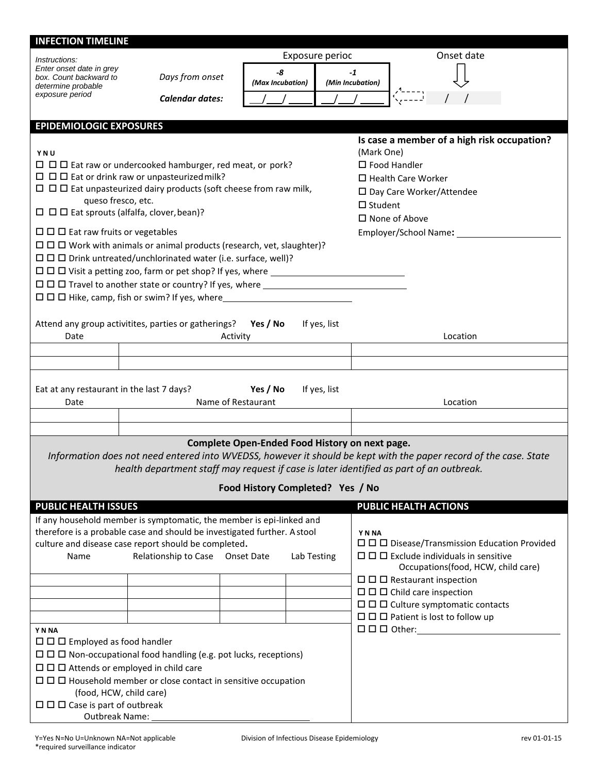| <b>INFECTION TIMELINE</b>                                               |                                                                                         |                                                |                        |                          |                |                                                                                                                   |
|-------------------------------------------------------------------------|-----------------------------------------------------------------------------------------|------------------------------------------------|------------------------|--------------------------|----------------|-------------------------------------------------------------------------------------------------------------------|
| Instructions:                                                           |                                                                                         |                                                | Exposure perioc        |                          |                | Onset date                                                                                                        |
| Enter onset date in grey<br>box. Count backward to                      | Days from onset                                                                         |                                                | -8<br>(Max Incubation) | $-1$<br>(Min Incubation) |                |                                                                                                                   |
| determine probable<br>exposure period                                   | <b>Calendar dates:</b>                                                                  |                                                |                        |                          |                |                                                                                                                   |
|                                                                         |                                                                                         |                                                |                        |                          |                |                                                                                                                   |
| <b>EPIDEMIOLOGIC EXPOSURES</b>                                          |                                                                                         |                                                |                        |                          |                |                                                                                                                   |
|                                                                         |                                                                                         |                                                |                        |                          |                | Is case a member of a high risk occupation?                                                                       |
| YNU                                                                     |                                                                                         |                                                |                        |                          | (Mark One)     |                                                                                                                   |
|                                                                         | $\Box$ $\Box$ Eat raw or undercooked hamburger, red meat, or pork?                      |                                                |                        |                          |                | $\Box$ Food Handler                                                                                               |
|                                                                         | $\Box$ $\Box$ Eat or drink raw or unpasteurized milk?                                   |                                                |                        |                          |                | $\Box$ Health Care Worker                                                                                         |
|                                                                         | $\Box$ $\Box$ Eat unpasteurized dairy products (soft cheese from raw milk,              |                                                |                        |                          |                | □ Day Care Worker/Attendee                                                                                        |
| queso fresco, etc.                                                      |                                                                                         |                                                |                        |                          | $\Box$ Student |                                                                                                                   |
| $\Box$ $\Box$ Eat sprouts (alfalfa, clover, bean)?                      |                                                                                         |                                                |                        |                          |                | $\Box$ None of Above                                                                                              |
| $\Box$ $\Box$ Eat raw fruits or vegetables                              |                                                                                         |                                                |                        |                          |                |                                                                                                                   |
|                                                                         | $\Box$ $\Box$ Work with animals or animal products (research, vet, slaughter)?          |                                                |                        |                          |                |                                                                                                                   |
|                                                                         | $\Box$ $\Box$ D Drink untreated/unchlorinated water (i.e. surface, well)?               |                                                |                        |                          |                |                                                                                                                   |
|                                                                         |                                                                                         |                                                |                        |                          |                |                                                                                                                   |
|                                                                         | $\Box$ $\Box$ $\Box$ Travel to another state or country? If yes, where $\Box$           |                                                |                        |                          |                |                                                                                                                   |
|                                                                         |                                                                                         |                                                |                        |                          |                |                                                                                                                   |
|                                                                         |                                                                                         |                                                |                        |                          |                |                                                                                                                   |
|                                                                         |                                                                                         |                                                |                        |                          |                |                                                                                                                   |
| Date                                                                    | Attend any group activitites, parties or gatherings?                                    | Yes / No<br>Activity                           |                        | If yes, list             |                | Location                                                                                                          |
|                                                                         |                                                                                         |                                                |                        |                          |                |                                                                                                                   |
|                                                                         |                                                                                         |                                                |                        |                          |                |                                                                                                                   |
|                                                                         |                                                                                         |                                                |                        |                          |                |                                                                                                                   |
|                                                                         |                                                                                         | Yes / No                                       |                        |                          |                |                                                                                                                   |
| Eat at any restaurant in the last 7 days?<br>Date                       |                                                                                         | Name of Restaurant                             |                        | If yes, list             |                | Location                                                                                                          |
|                                                                         |                                                                                         |                                                |                        |                          |                |                                                                                                                   |
|                                                                         |                                                                                         |                                                |                        |                          |                |                                                                                                                   |
|                                                                         |                                                                                         | Complete Open-Ended Food History on next page. |                        |                          |                |                                                                                                                   |
|                                                                         |                                                                                         |                                                |                        |                          |                | Information does not need entered into WVEDSS, however it should be kept with the paper record of the case. State |
|                                                                         | health department staff may request if case is later identified as part of an outbreak. |                                                |                        |                          |                |                                                                                                                   |
|                                                                         |                                                                                         |                                                |                        |                          |                |                                                                                                                   |
|                                                                         |                                                                                         | Food History Completed? Yes / No               |                        |                          |                |                                                                                                                   |
| <b>PUBLIC HEALTH ISSUES</b>                                             |                                                                                         |                                                |                        |                          |                | <b>PUBLIC HEALTH ACTIONS</b>                                                                                      |
|                                                                         | If any household member is symptomatic, the member is epi-linked and                    |                                                |                        |                          |                |                                                                                                                   |
|                                                                         | therefore is a probable case and should be investigated further. A stool                |                                                |                        |                          | Y N NA         |                                                                                                                   |
|                                                                         | culture and disease case report should be completed.                                    |                                                |                        |                          |                | $\Box$ $\Box$ Disease/Transmission Education Provided                                                             |
| Name                                                                    | Relationship to Case Onset Date                                                         |                                                | Lab Testing            |                          |                | $\Box$ $\Box$ Exclude individuals in sensitive                                                                    |
|                                                                         |                                                                                         |                                                |                        |                          |                | Occupations(food, HCW, child care)                                                                                |
|                                                                         |                                                                                         |                                                |                        |                          |                | $\Box$ $\Box$ Restaurant inspection                                                                               |
|                                                                         |                                                                                         |                                                |                        |                          |                | $\Box$ $\Box$ Child care inspection                                                                               |
|                                                                         |                                                                                         |                                                |                        |                          |                | $\Box$ $\Box$ $\Box$ Culture symptomatic contacts                                                                 |
|                                                                         |                                                                                         |                                                |                        |                          |                | $\Box$ $\Box$ Patient is lost to follow up                                                                        |
| Y N NA                                                                  |                                                                                         |                                                |                        |                          |                |                                                                                                                   |
| $\Box$ $\Box$ Employed as food handler                                  |                                                                                         |                                                |                        |                          |                |                                                                                                                   |
| □ □ Non-occupational food handling (e.g. pot lucks, receptions)         |                                                                                         |                                                |                        |                          |                |                                                                                                                   |
| $\Box$ $\Box$ Attends or employed in child care                         |                                                                                         |                                                |                        |                          |                |                                                                                                                   |
| $\Box$ $\Box$ Household member or close contact in sensitive occupation |                                                                                         |                                                |                        |                          |                |                                                                                                                   |
| (food, HCW, child care)                                                 |                                                                                         |                                                |                        |                          |                |                                                                                                                   |
| $\Box$ $\Box$ Case is part of outbreak                                  |                                                                                         |                                                |                        |                          |                |                                                                                                                   |
| Outbreak Name:                                                          |                                                                                         |                                                |                        |                          |                |                                                                                                                   |